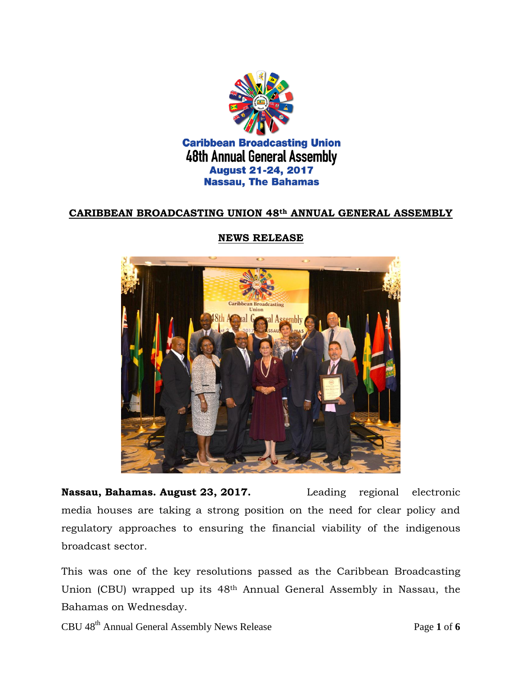

## **CARIBBEAN BROADCASTING UNION 48th ANNUAL GENERAL ASSEMBLY**



#### **NEWS RELEASE**

**Nassau, Bahamas. August 23, 2017.** Leading regional electronic media houses are taking a strong position on the need for clear policy and regulatory approaches to ensuring the financial viability of the indigenous broadcast sector.

This was one of the key resolutions passed as the Caribbean Broadcasting Union (CBU) wrapped up its 48th Annual General Assembly in Nassau, the Bahamas on Wednesday.

CBU 48th Annual General Assembly News Release Page **1** of **6**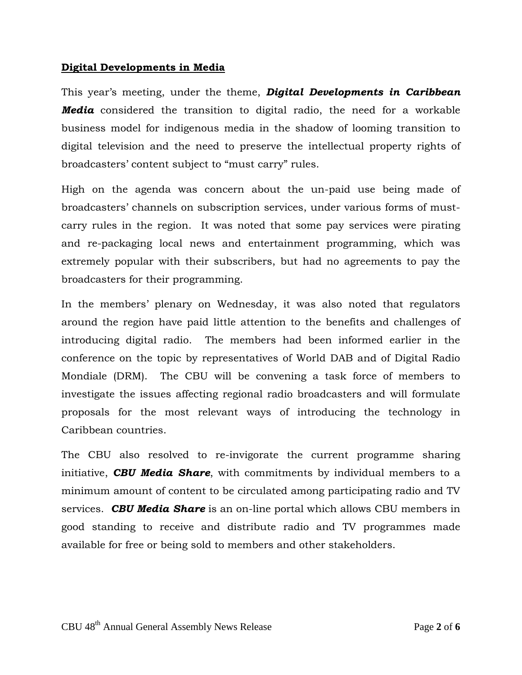#### **Digital Developments in Media**

This year's meeting, under the theme, *Digital Developments in Caribbean Media* considered the transition to digital radio, the need for a workable business model for indigenous media in the shadow of looming transition to digital television and the need to preserve the intellectual property rights of broadcasters' content subject to "must carry" rules.

High on the agenda was concern about the un-paid use being made of broadcasters' channels on subscription services, under various forms of mustcarry rules in the region. It was noted that some pay services were pirating and re-packaging local news and entertainment programming, which was extremely popular with their subscribers, but had no agreements to pay the broadcasters for their programming.

In the members' plenary on Wednesday, it was also noted that regulators around the region have paid little attention to the benefits and challenges of introducing digital radio. The members had been informed earlier in the conference on the topic by representatives of World DAB and of Digital Radio Mondiale (DRM). The CBU will be convening a task force of members to investigate the issues affecting regional radio broadcasters and will formulate proposals for the most relevant ways of introducing the technology in Caribbean countries.

The CBU also resolved to re-invigorate the current programme sharing initiative, *CBU Media Share*, with commitments by individual members to a minimum amount of content to be circulated among participating radio and TV services. *CBU Media Share* is an on-line portal which allows CBU members in good standing to receive and distribute radio and TV programmes made available for free or being sold to members and other stakeholders.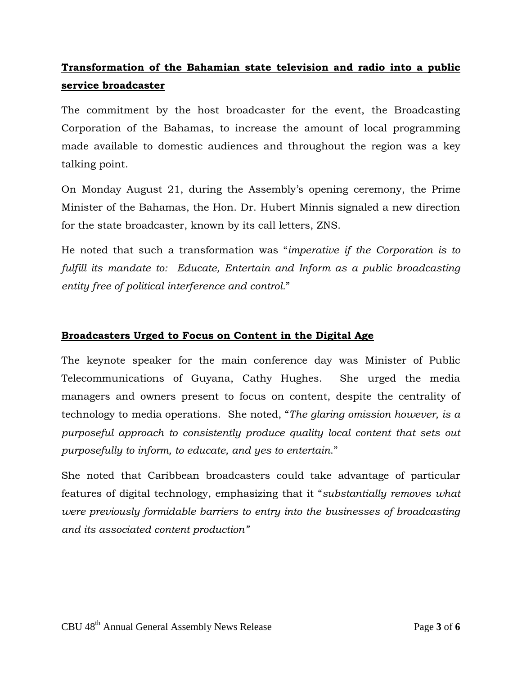# **Transformation of the Bahamian state television and radio into a public service broadcaster**

The commitment by the host broadcaster for the event, the Broadcasting Corporation of the Bahamas, to increase the amount of local programming made available to domestic audiences and throughout the region was a key talking point.

On Monday August 21, during the Assembly's opening ceremony, the Prime Minister of the Bahamas, the Hon. Dr. Hubert Minnis signaled a new direction for the state broadcaster, known by its call letters, ZNS.

He noted that such a transformation was "*imperative if the Corporation is to fulfill its mandate to: Educate, Entertain and Inform as a public broadcasting entity free of political interference and control.*"

## **Broadcasters Urged to Focus on Content in the Digital Age**

The keynote speaker for the main conference day was Minister of Public Telecommunications of Guyana, Cathy Hughes. She urged the media managers and owners present to focus on content, despite the centrality of technology to media operations. She noted, "*The glaring omission however, is a purposeful approach to consistently produce quality local content that sets out purposefully to inform, to educate, and yes to entertain*."

She noted that Caribbean broadcasters could take advantage of particular features of digital technology, emphasizing that it "*substantially removes what were previously formidable barriers to entry into the businesses of broadcasting and its associated content production"*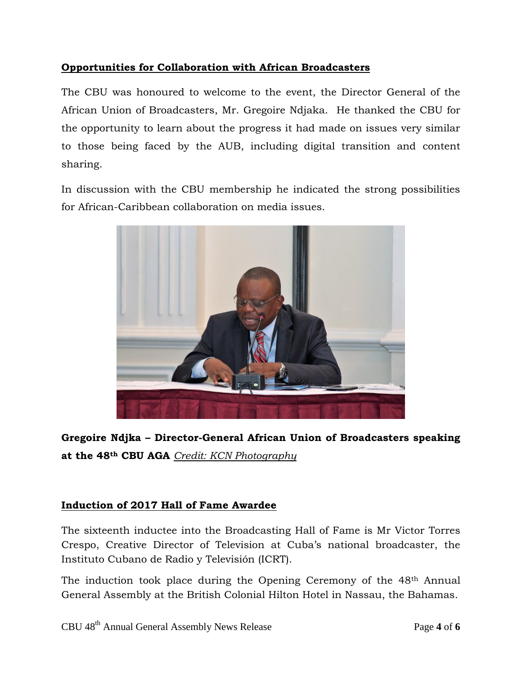# **Opportunities for Collaboration with African Broadcasters**

The CBU was honoured to welcome to the event, the Director General of the African Union of Broadcasters, Mr. Gregoire Ndjaka. He thanked the CBU for the opportunity to learn about the progress it had made on issues very similar to those being faced by the AUB, including digital transition and content sharing.

In discussion with the CBU membership he indicated the strong possibilities for African-Caribbean collaboration on media issues.



**Gregoire Ndjka – Director-General African Union of Broadcasters speaking at the 48th CBU AGA** *Credit: KCN Photography*

## **Induction of 2017 Hall of Fame Awardee**

The sixteenth inductee into the Broadcasting Hall of Fame is Mr Victor Torres Crespo, Creative Director of Television at Cuba's national broadcaster, the Instituto Cubano de Radio y Televisión (ICRT).

The induction took place during the Opening Ceremony of the 48th Annual General Assembly at the British Colonial Hilton Hotel in Nassau, the Bahamas.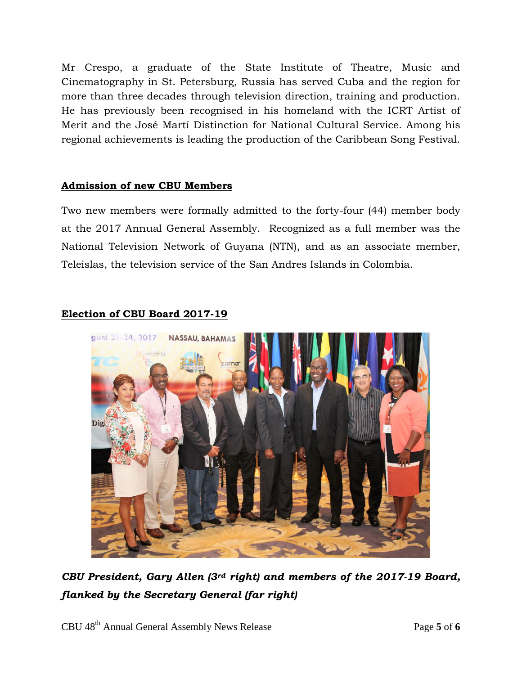Mr Crespo, a graduate of the State Institute of Theatre, Music and Cinematography in St. Petersburg, Russia has served Cuba and the region for more than three decades through television direction, training and production. He has previously been recognised in his homeland with the ICRT Artist of Merit and the José Martí Distinction for National Cultural Service. Among his regional achievements is leading the production of the Caribbean Song Festival.

## **Admission of new CBU Members**

Two new members were formally admitted to the forty-four (44) member body at the 2017 Annual General Assembly. Recognized as a full member was the National Television Network of Guyana (NTN), and as an associate member, Teleislas, the television service of the San Andres Islands in Colombia.

## **Election of CBU Board 2017-19**



*CBU President, Gary Allen (3rd right) and members of the 2017-19 Board, flanked by the Secretary General (far right)*